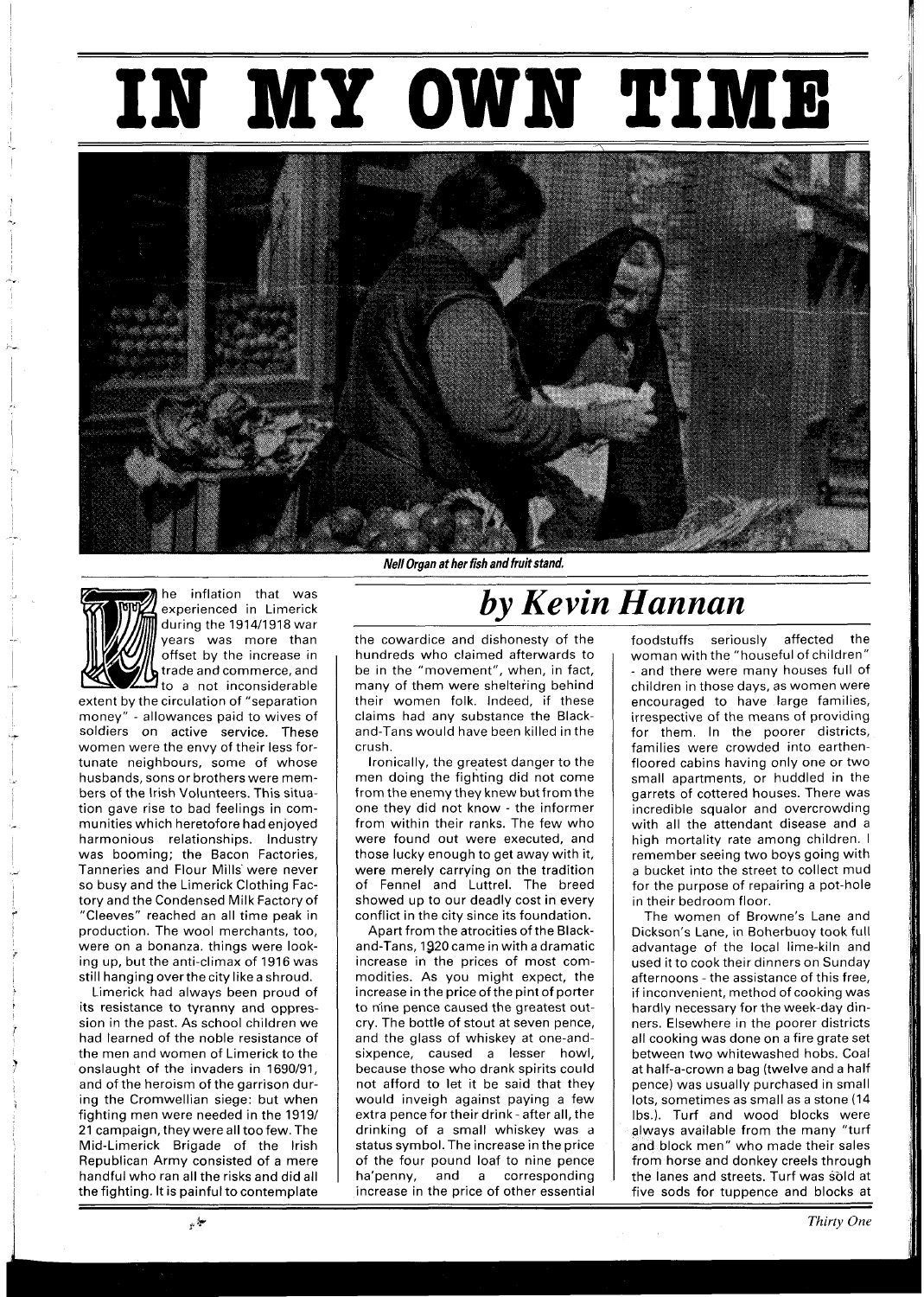## **IN MY OWN TIME**





he inflation that was experienced in Limerick during the I9l4/1918 war years was more than offset by the increase in trade and commerce, and to a not inconsiderable

extent by the circulation of "separation money" - allowances paid to wives of soldiers on active service. These women were the envy of their less fortunate neighbours, some of whose husbands, sons or brothers were members of the lrish Volunteers. This situation gave rise to bad feelings in communities which heretofore had enjoyed harmonious relationships. Industry was booming: the Bacon Factories, Tanneries and Flour Mills'were never so busy and the Limerick Clothing Factory and the Condensed Milk Factory of "Cleeves" reached an all time peak in production. The wool merchants, too, were on a bonanza. things were looking up, but the anti-climax of 1916 was still hanging overthecity like a shroud.

Limerick had always been proud of its resistance to tyranny and oppression in the past. As school children we had learned of the noble resistance of the men and women of Limerick to the onslaught of the invaders in 1690/91, and of the heroism of the garrison during the Cromwellian siege: but when fighting men were needed in the 1919/ 21 campaign, they were all too few. The Mid-Limerick Brigade of the lrish Republican Army consisted of a mere handful who ran all the risks and did all the fighting. It is painful to contemplate

**Nell Oraan at her fish and fruit stand.** 

## *by Kevin Hannan*

the cowardice and dishonesty of the hundreds who claimed afterwards to be in the "movement", when, in fact, many of them were sheltering behind their women folk. Indeed, if these claims had any substance the Blackand-Tans would have been killed in the crush.

Ironically, the greatest danger to the men doing the fighting did not come from the enemy they knew but from the one they did not know - the informer from within their ranks. The few who were found out were executed, and those lucky enough to get away with it, were merely carrying on the tradition of Fennel and Luttrel. The breed showed up to our deadly cost in every conflict in the city since its foundation.

Apart from the atrocities of the Blackand-Tans, 1920 came in with a dramatic increase in the prices of most commodities. As you might expect, the increase in the price of the pint of porter to nine pence caused the greatest outcry. The bottle of stout at seven pence, and the glass of whiskey at one-andsixpence, caused a lesser howl, because those who drank spirits could not afford to let it be said that they would inveigh against paying a few extra pence for their drink - after all, the drinking of a small whiskey was a status symbol. The increase in the price of the four pound loaf to nine pence ha'penny, and a corresponding increase in the price of other essential

foodstuffs seriously affected the woman with the "houseful of children" - and there were many houses full of children in those days, as women were encouraged to have large families, irrespective of the means of providing for them. In the poorer districts, families were crowded into earthenfloored cabins having only one or two small apartments, or huddled in the garrets of cottered houses. There was incredible squalor and overcrowding with all the attendant disease and a high mortality rate among children. I remember seeing two boys going with a bucket into the street to collect mud for the purpose of repairing a pot-hole in their bedroom floor.

The women of Browne's Lane and Dickson's Lane, in Boherbuoy took full advantage of the local lime-kiln and used it to cook their dinners on Sunday afternoons - the assistance of this free, if inconvenient, method of cooking was hardly necessary for the week-day dinners. Elsewhere in the poorer districts all cooking was done on a fire grate set between two whitewashed hobs. Coal at half-a-crown a bag (twelve and a half pence) was usually purchased in small lots, sometimes as small as a stone (14 Ibs.). Turf and wood blocks were always available from the many "turf and block men" who made their sales from horse and donkey creels through the lanes and streets. Turf was sold at five sods for tuppence and blocks at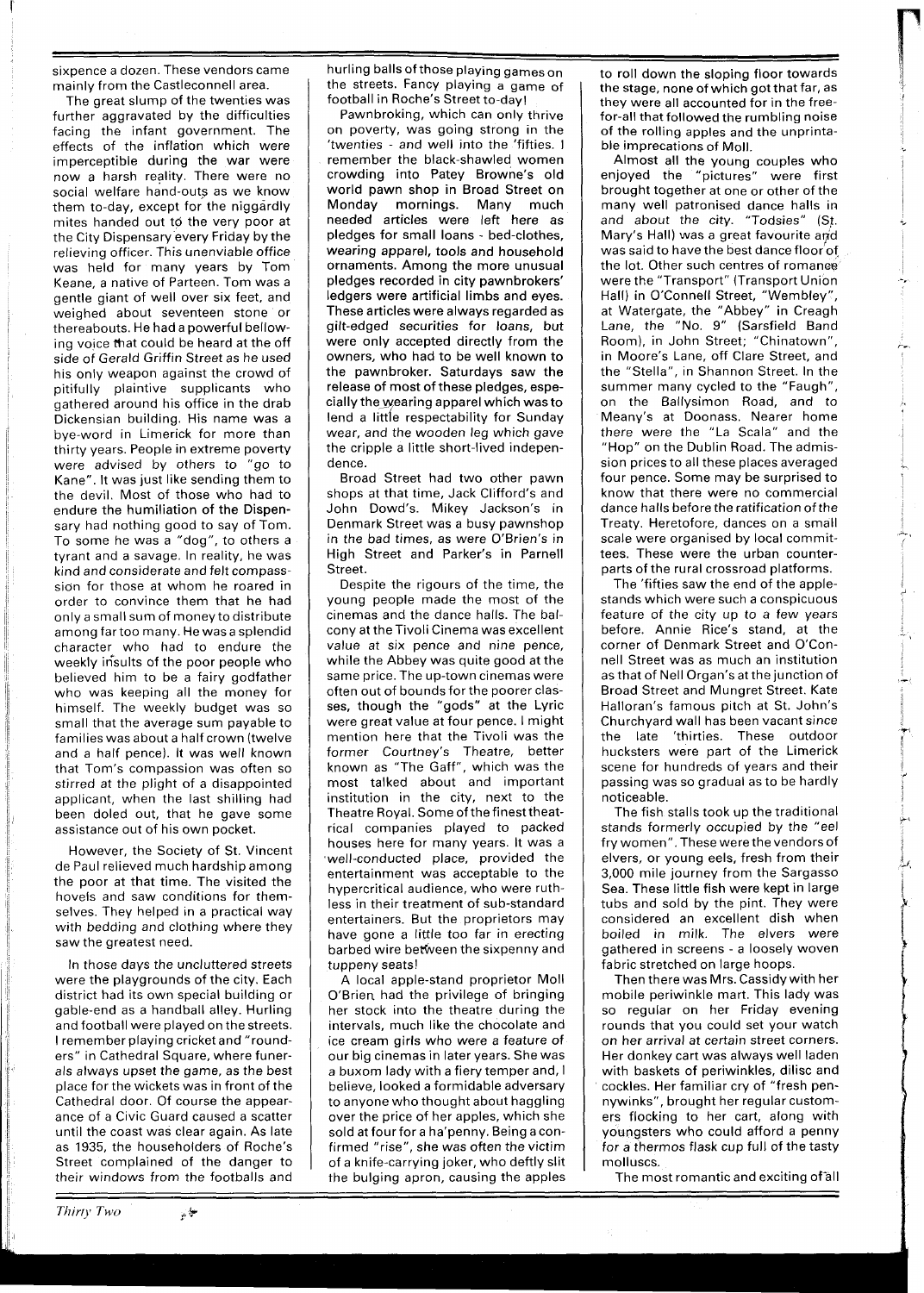sixpence a dozen. These vendors came mainly from the Castleconnell area.

The great slump of the twenties was further aggravated by the difficulties facing the infant government. The effects of the inflation which were imperceptible during the war were now a harsh reality. There were no social welfare hand-outs as we know them to-day, except for the niggardly mites handed out to the very poor at the City Dispensary every Friday by the relieving officer. This unenviable office was held for many years by Tom Keane, a native of Parteen. Tom was a gentle giant of well over six feet, and weighed about seventeen stone or thereabouts. He had a powerful bellowing voice that could be heard at the off side of Gerald Griffin Street as he used his only weapon against the crowd of pitifully plaintive supplicants who gathered around his office in the drab Dickensian building. His name was a bye-word in Limerick for more than thirty years. People in extreme poverty were advised by others to "go to Kane". It was just like sending them to the devil. Most of those who had to endure the humiliation of the Dispensary had nothing good to say of Tom. To some he was a "dog", to others a tyrant and a savage. In reality, he was kind and considerate and felt compasssidn for those at whom he roared in order to convince them that he had only a small sum of money to distribute among far too many. He was a splendid character who had to endure the weekly insults of the poor people who believed him to be a fairy godfather who was keeping all the money for himself. The weekly budget was so small that the average sum payable to families was about a half crown (twelve and a half pence). It was well known that Tom's compassion was often so stirred at the plight of a disappointed applicant, when the last shilling had been doled out, that he gave some assistance out of his own pocket.

However, the Society of St. Vincent de Paul relieved much hardship among the poor at that time. The visited the hovels and saw conditions for themselves. They helped in a practical way with bedding and clothing where they saw the greatest need.

In those days the uncluttered streets were the playgrounds of the city. Each district had its own special building or gable-end as a handball alley. Hurling and football were played on the streets. I remember playing cricket and "rounders" in Cathedral Square, where funerals always upset the game, as the best place for the wickets was in front of the Cathedral door. Of course the appearance of a Civic Guard caused a scatter until the coast was clear again. As late as 1935, the householders of Roche's Street complained of the danger to their windows from the footballs and

ميازي

hurling balls of those playing games on the streets. Fancy playing a game of football in Roche's Street to-day!

Pawnbroking, which can only thrive on poverty, was going strong in the 'twenties - and well into the 'fifties. I remember the black-shawled women crowding into Patey Browne's old world pawn shop in Broad Street on Monday mornings. Many much needed articles were left here as pledges for small loans - bed-clothes, wearing apparel, tools and household ornaments. Among the more unusual pledges recorded in city pawnbrokers' ledgers were artificial limbs and eyes. These articles were always regarded as gilt-edged securities for loans, but were only accepted directly from the owners, who had to be well known to the pawnbroker. Saturdays saw the release of most of these pledges, especially the-wearing apparel which was to lend a little respectability for Sunday wear, and the wooden leg which gave the cripple a little short-lived independence.

Broad Street had two other pawn shops at that time, Jack Clifford's and John Dowd's. Mikey Jackson's in Denmark Street was a busy pawnshop in the bad times, as were O'Brien's in High Street and Parker's in Parnell Street.

Despite the rigours of the time, the young people made the most of the cinemas and the dance halls. The balcony at the Tivoli Cinema was excellent value at six pence and nine pence, while the Abbey was quite good at the same price. The up-town cinemas were often out of bounds for the poorer classes, though the "gods" at the Lyric were great value at four pence. I might mention here that the Tivoli was the former Courtney's Theatre, better known as "The Gaff", which was the most talked about and important institution in the city, next to the Theatre Royal. Some of the finest theatrical companies played to packed houses here for many years. It was a well-conducted place, provided the entertainment was acceptable to the hypercritical audience, who were ruthless in their treatment of sub-standard entertainers. But the proprietors may have gone a little too far in erecting barbed wire between the sixpenny and tuppeny seats!

A local apple-stand proprietor Moll O'Brien had the privilege of bringing her stock into the theatre during the intervals, much like the chocolate and ice cream girls who were a feature of our big cinemas in later years. She was a buxom lady with a fiery temper and, I believe, looked a formidable adversary to anyone who thought about haggling over the price of her apples, which she sold at four for a ha'penny. Being a confirmed "rise", she was often the victim of a knife-carrying joker, who deftly slit the bulging apron, causing the apples

to roll down the sloping floor towards the stage, none of which got that far, as they were all accounted for in the freefor-all that followed the rumbling noise of the rolling apples and the unprintable imprecations of Moll.

Almost all the young couples who enjoyed the "pictures" were first brought together at one or other of the many well patronised dance halls in and about the city. "Todsies" (St. Mary's Hall) was a great favourite and was said to have the best dance floor of the lot. Other such centres of romance were the "Transport" (Transport Union Hall) in O'Connell Street, "Wembley", at Watergate, the "Abbey" in Creagh Lane, the "No. 9" (Sarsfield Band Room), in John Street; "Chinatown", in Moore's Lane, off Clare Street, and the "Stella", in Shannon Street. In the summer many cycled to the "Faugh", on the Ballysimon Road, and to Meany's at Doonass. Nearer home there were the "La Scala" and the "Hop" on the Dublin Road. The admission prices to all these places averaged four pence. Some may be surprised to know that there were no commercial dance halls before the ratification of the Treaty. Heretofore, dances on a small scale were organised by local committees. These were the urban counterparts of the rural crossroad platforms.

The 'fifties saw the end of the applestands whlch were such a conspicuous feature of the city up to a few years before. Annie Rice's stand, at the corner of Denmark Street and O'Connell Street was as much an institution as that of Nell Organ's atthe junction of Broad Street and Mungret Street. Kate Halloran's famous pitch at St. John's Churchyard wall has been vacant since the late 'thirties. These outdoor hucksters were part of the Limerick scene for hundreds of years and their passing was so gradual as to be hardly noticeable.

The fish stalls took up the traditional stands formerly occupied by the "eel fry women". These were the vendors of elvers, or young eels, fresh from their 3,000 mile journey from the Sargasso Sea. These little fish were kept in large tubs and sold by the pint. They were considered an excellent dish when boiled in milk. The elvers were gathered in screens - a loosely woven fabric stretched on large hoops.

Then there was Mrs. Cassidy with her mobile periwinkle mart. This lady was so regular on her Friday evening rounds that you could set your watch on her arrival at certain street corners. Her donkey cart was always well laden with baskets of periwinkles, dilisc and cockles. Her familiar cry of "fresh pennywlnks", brought her regular customers flocking to her cart, along with youngsters who could afford a penny for a thermos flask cup full of the tasty molluscs.

The most romantic and exciting of all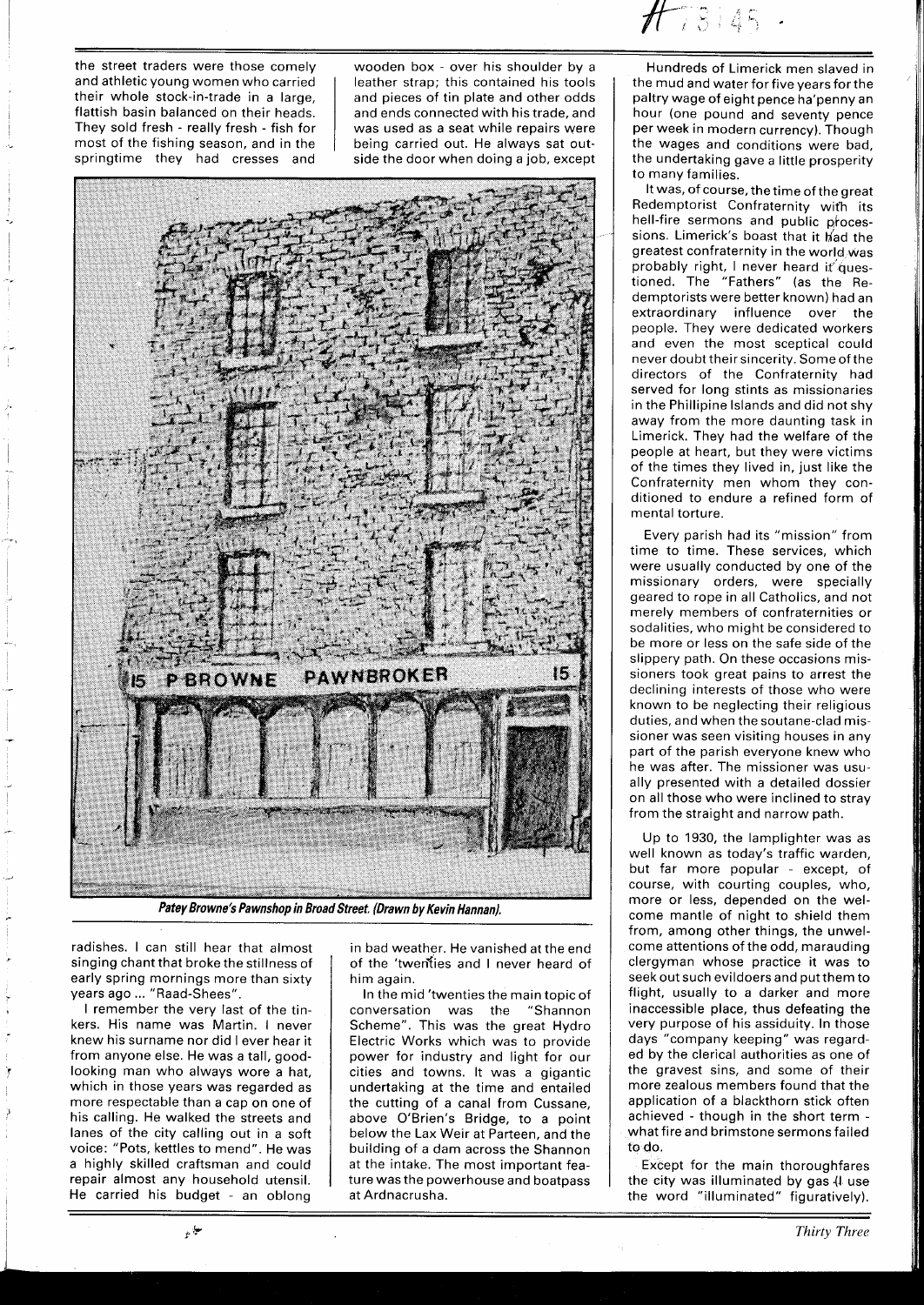the street traders were those comely and athletic young women who carried their whole stock-in-trade in a large, flattish basin balanced on their heads. They sold fresh - really fresh - fish for most of the fishing season, and in the springtime they had cresses and

wooden box - over his shoulder by a leather strap; this contained his tools and pieces of tin plate and other odds and ends connected with his trade, and was used as a seat while repairs were being carried out. He always sat outside the door when doing a job, except



radishes. I can still hear that almost singing chant that broke the stillness of early spring mornings more than sixty years ago ... "Raad-Shees".

I remember the very last of the tinkers. His name was Martin. I never knew his surname nor did I ever hear it from anyone else. He was a tall, goodlooking man who always wore a hat, which in those years was regarded as more respectable than a cap on one of his calling. He walked the streets and lanes of the city calling out in a soft voice: "Pots, kettles to mend". He was a highly skilled craftsman and could repair almost any household utensil. He carried his budget - an oblong

in bad weather. He vanished at the end of the 'twenties and I never heard of him again.

In the mid 'twenties the main topic of conversation was the "Shannon Scheme". This was the great Hydro Electric Works which was to provide power for industry and light for our cities and towns. It was a gigantic undertaking at the time and entailed the cutting of a canal from Cussane, above O'Brien's Bridge, to a point below the Lax Weir at Parteen, and the building of a dam across the Shannon at the intake. The most important feature was the powerhouse and boatpass at Ardnacrusha.

Hundreds of Limerick men slaved in the mud and water for five years for the paltry wage of eight pence ha'penny an hour (one pound and seventy pence per week in modern currency). Though the wages and conditions were bad, the undertaking gave a little prosperity to many families.

It was, of course, the time of the great Redemptorist Confraternity wifh its hell-fire sermons and public processions. Limerick's boast that it had the greatest confraternity in the world was probably right, I never heard it questioned. The "Fathers" (as the Redemptorists were better known) had an extraordinary influence over the people. They were dedicated workers and even the most sceptical could never doubt their sincerity. Someofthe directors of the Confraternity had served for long stints as missionaries in the Phillipine Islands and did not shy away from the more daunting task in Limerick. They had the welfare of the people at heart, but they were victims of the times they lived in, just like the Confraternity men whom they conditioned to endure a refined form of mental torture.

Every parish had its "mission" from time to time. These services, which were usually conducted by one of the missionary orders, were specially geared to rope in all Catholics, and not merely members of confraternities or sodalities, who might be considered to be more or less on the safe side of the slippery path. On these occasions missioners took great pains to arrest the declining interests of those who were known to be neglecting their religious duties, and when the soutane-clad missioner was seen visiting houses in any part of the parish everyone knew who he was after. The missioner was usually presented with a detailed dossier on all those who were inclined to stray from the straight and narrow path.

Up to 1930, the lamplighter was as well known as today's traffic warden, but far more popular - except, of course, with courting couples, who, more or less, depended on the welcome mantle of night to shield them from, among other things, the unwelcome attentions of the odd, marauding clergyman whose practice it was to seek out such evildoers and put them to flight, usually to a darker and more inaccessible place, thus defeating the very purpose of his assiduity. In those days "company keeping" was regarded by the clerical authorities as one of the gravest sins, and some of their more zealous members found that the application of a blackthorn stick often achieved - though in the short term what fire and brimstone sermons failed to do.

Except for the main thoroughfares the city was illuminated by gas (I use the word "illuminated" figuratively).